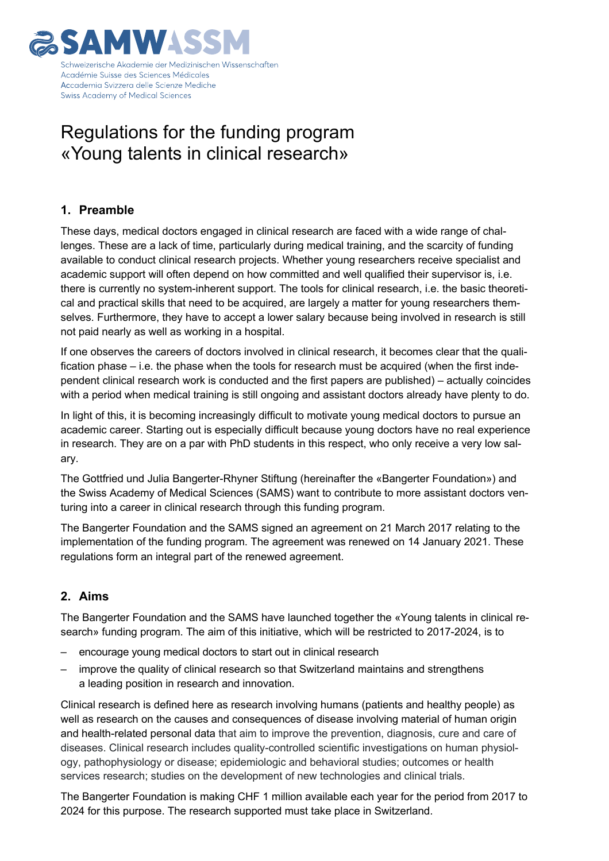

## Regulations for the funding program «Young talents in clinical research»

### **1. Preamble**

These days, medical doctors engaged in clinical research are faced with a wide range of challenges. These are a lack of time, particularly during medical training, and the scarcity of funding available to conduct clinical research projects. Whether young researchers receive specialist and academic support will often depend on how committed and well qualified their supervisor is, i.e. there is currently no system-inherent support. The tools for clinical research, i.e. the basic theoretical and practical skills that need to be acquired, are largely a matter for young researchers themselves. Furthermore, they have to accept a lower salary because being involved in research is still not paid nearly as well as working in a hospital.

If one observes the careers of doctors involved in clinical research, it becomes clear that the qualification phase – i.e. the phase when the tools for research must be acquired (when the first independent clinical research work is conducted and the first papers are published) – actually coincides with a period when medical training is still ongoing and assistant doctors already have plenty to do.

In light of this, it is becoming increasingly difficult to motivate young medical doctors to pursue an academic career. Starting out is especially difficult because young doctors have no real experience in research. They are on a par with PhD students in this respect, who only receive a very low salary.

The Gottfried und Julia Bangerter-Rhyner Stiftung (hereinafter the «Bangerter Foundation») and the Swiss Academy of Medical Sciences (SAMS) want to contribute to more assistant doctors venturing into a career in clinical research through this funding program.

The Bangerter Foundation and the SAMS signed an agreement on 21 March 2017 relating to the implementation of the funding program. The agreement was renewed on 14 January 2021. These regulations form an integral part of the renewed agreement.

### **2. Aims**

The Bangerter Foundation and the SAMS have launched together the «Young talents in clinical research» funding program. The aim of this initiative, which will be restricted to 2017-2024, is to

- encourage young medical doctors to start out in clinical research
- improve the quality of clinical research so that Switzerland maintains and strengthens a leading position in research and innovation.

Clinical research is defined here as research involving humans (patients and healthy people) as well as research on the causes and consequences of disease involving material of human origin and health-related personal data that aim to improve the prevention, diagnosis, cure and care of diseases. Clinical research includes quality-controlled scientific investigations on human physiology, pathophysiology or disease; epidemiologic and behavioral studies; outcomes or health services research; studies on the development of new technologies and clinical trials.

The Bangerter Foundation is making CHF 1 million available each year for the period from 2017 to 2024 for this purpose. The research supported must take place in Switzerland.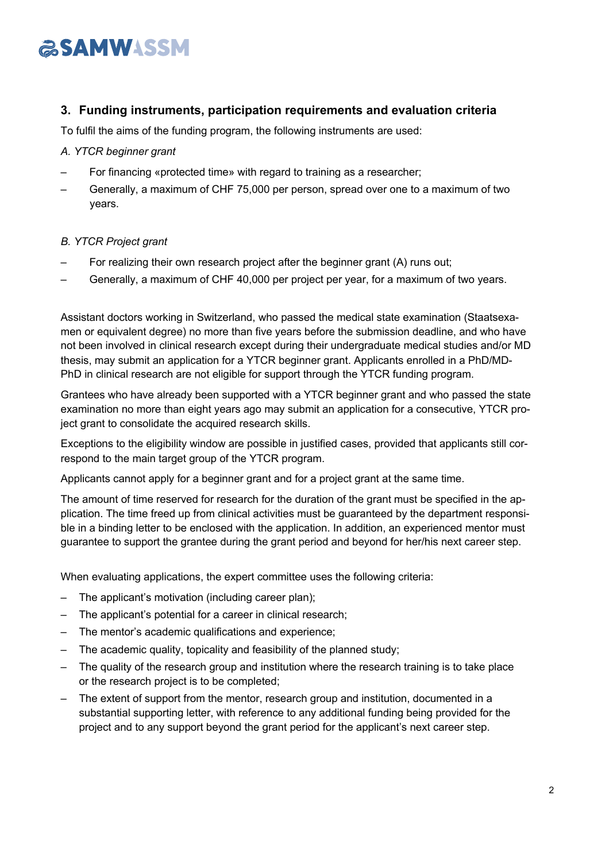# **ESAMWASSM**

### **3. Funding instruments, participation requirements and evaluation criteria**

To fulfil the aims of the funding program, the following instruments are used:

#### *A. YTCR beginner grant*

- For financing «protected time» with regard to training as a researcher;
- Generally, a maximum of CHF 75,000 per person, spread over one to a maximum of two years.

#### *B. YTCR Project grant*

- For realizing their own research project after the beginner grant (A) runs out;
- Generally, a maximum of CHF 40,000 per project per year, for a maximum of two years.

Assistant doctors working in Switzerland, who passed the medical state examination (Staatsexamen or equivalent degree) no more than five years before the submission deadline, and who have not been involved in clinical research except during their undergraduate medical studies and/or MD thesis, may submit an application for a YTCR beginner grant. Applicants enrolled in a PhD/MD-PhD in clinical research are not eligible for support through the YTCR funding program.

Grantees who have already been supported with a YTCR beginner grant and who passed the state examination no more than eight years ago may submit an application for a consecutive, YTCR project grant to consolidate the acquired research skills.

Exceptions to the eligibility window are possible in justified cases, provided that applicants still correspond to the main target group of the YTCR program.

Applicants cannot apply for a beginner grant and for a project grant at the same time.

The amount of time reserved for research for the duration of the grant must be specified in the application. The time freed up from clinical activities must be guaranteed by the department responsible in a binding letter to be enclosed with the application. In addition, an experienced mentor must guarantee to support the grantee during the grant period and beyond for her/his next career step.

When evaluating applications, the expert committee uses the following criteria:

- The applicant's motivation (including career plan);
- The applicant's potential for a career in clinical research;
- The mentor's academic qualifications and experience;
- The academic quality, topicality and feasibility of the planned study;
- The quality of the research group and institution where the research training is to take place or the research project is to be completed;
- The extent of support from the mentor, research group and institution, documented in a substantial supporting letter, with reference to any additional funding being provided for the project and to any support beyond the grant period for the applicant's next career step.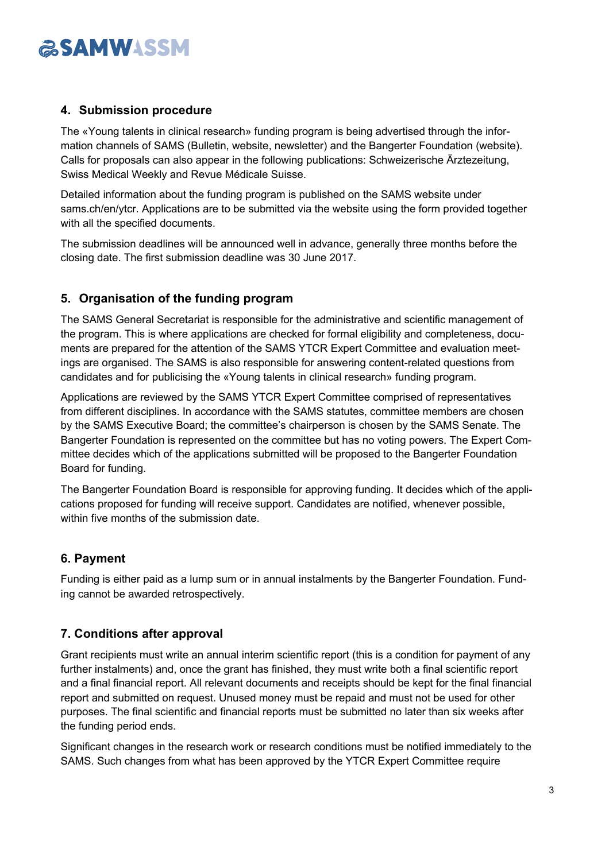# **ESAMWASSM**

### **4. Submission procedure**

The «Young talents in clinical research» funding program is being advertised through the information channels of SAMS (Bulletin, website, newsletter) and the Bangerter Foundation (website). Calls for proposals can also appear in the following publications: Schweizerische Ärztezeitung, Swiss Medical Weekly and Revue Médicale Suisse.

Detailed information about the funding program is published on the SAMS website under sams.ch/en/ytcr. Applications are to be submitted via the website using the form provided together with all the specified documents.

The submission deadlines will be announced well in advance, generally three months before the closing date. The first submission deadline was 30 June 2017.

### **5. Organisation of the funding program**

The SAMS General Secretariat is responsible for the administrative and scientific management of the program. This is where applications are checked for formal eligibility and completeness, documents are prepared for the attention of the SAMS YTCR Expert Committee and evaluation meetings are organised. The SAMS is also responsible for answering content-related questions from candidates and for publicising the «Young talents in clinical research» funding program.

Applications are reviewed by the SAMS YTCR Expert Committee comprised of representatives from different disciplines. In accordance with the SAMS statutes, committee members are chosen by the SAMS Executive Board; the committee's chairperson is chosen by the SAMS Senate. The Bangerter Foundation is represented on the committee but has no voting powers. The Expert Committee decides which of the applications submitted will be proposed to the Bangerter Foundation Board for funding.

The Bangerter Foundation Board is responsible for approving funding. It decides which of the applications proposed for funding will receive support. Candidates are notified, whenever possible, within five months of the submission date.

### **6. Payment**

Funding is either paid as a lump sum or in annual instalments by the Bangerter Foundation. Funding cannot be awarded retrospectively.

### **7. Conditions after approval**

Grant recipients must write an annual interim scientific report (this is a condition for payment of any further instalments) and, once the grant has finished, they must write both a final scientific report and a final financial report. All relevant documents and receipts should be kept for the final financial report and submitted on request. Unused money must be repaid and must not be used for other purposes. The final scientific and financial reports must be submitted no later than six weeks after the funding period ends.

Significant changes in the research work or research conditions must be notified immediately to the SAMS. Such changes from what has been approved by the YTCR Expert Committee require